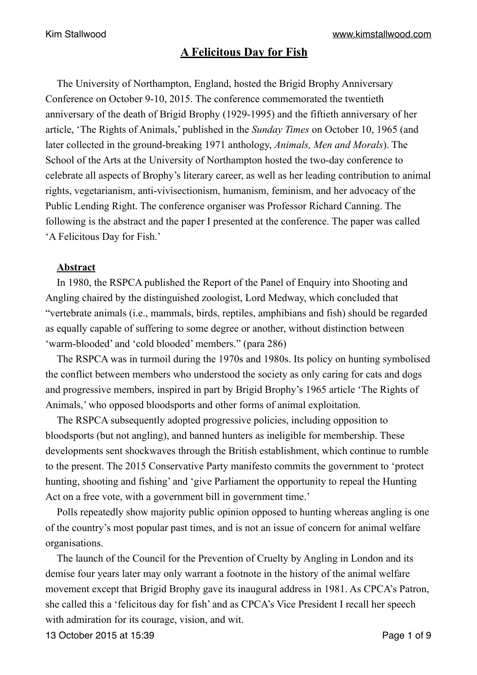# **A Felicitous Day for Fish**

The University of Northampton, England, hosted the Brigid Brophy Anniversary Conference on October 9-10, 2015. The conference commemorated the twentieth anniversary of the death of Brigid Brophy (1929-1995) and the fiftieth anniversary of her article, 'The Rights of Animals,' published in the *Sunday Times* on October 10, 1965 (and later collected in the ground-breaking 1971 anthology, *Animals, Men and Morals*). The School of the Arts at the University of Northampton hosted the two-day conference to celebrate all aspects of Brophy's literary career, as well as her leading contribution to animal rights, vegetarianism, anti-vivisectionism, humanism, feminism, and her advocacy of the Public Lending Right. The conference organiser was Professor Richard Canning. The following is the abstract and the paper I presented at the conference. The paper was called 'A Felicitous Day for Fish.'

# **Abstract**

In 1980, the RSPCA published the Report of the Panel of Enquiry into Shooting and Angling chaired by the distinguished zoologist, Lord Medway, which concluded that "vertebrate animals (i.e., mammals, birds, reptiles, amphibians and fish) should be regarded as equally capable of suffering to some degree or another, without distinction between 'warm-blooded' and 'cold blooded' members." (para 286)

The RSPCA was in turmoil during the 1970s and 1980s. Its policy on hunting symbolised the conflict between members who understood the society as only caring for cats and dogs and progressive members, inspired in part by Brigid Brophy's 1965 article 'The Rights of Animals,' who opposed bloodsports and other forms of animal exploitation.

The RSPCA subsequently adopted progressive policies, including opposition to bloodsports (but not angling), and banned hunters as ineligible for membership. These developments sent shockwaves through the British establishment, which continue to rumble to the present. The 2015 Conservative Party manifesto commits the government to 'protect hunting, shooting and fishing' and 'give Parliament the opportunity to repeal the Hunting Act on a free vote, with a government bill in government time.'

Polls repeatedly show majority public opinion opposed to hunting whereas angling is one of the country's most popular past times, and is not an issue of concern for animal welfare organisations.

The launch of the Council for the Prevention of Cruelty by Angling in London and its demise four years later may only warrant a footnote in the history of the animal welfare movement except that Brigid Brophy gave its inaugural address in 1981. As CPCA's Patron, she called this a 'felicitous day for fish' and as CPCA's Vice President I recall her speech with admiration for its courage, vision, and wit.

13 October 2015 at 15:39 Page 1 of 9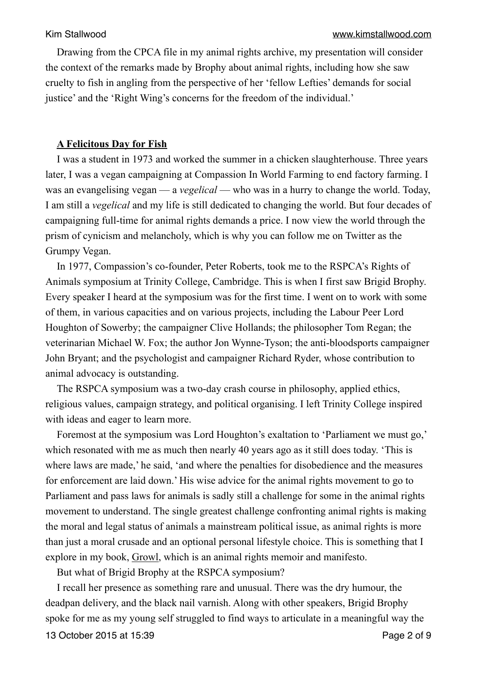Drawing from the CPCA file in my animal rights archive, my presentation will consider the context of the remarks made by Brophy about animal rights, including how she saw cruelty to fish in angling from the perspective of her 'fellow Lefties' demands for social justice' and the 'Right Wing's concerns for the freedom of the individual.'

### **A Felicitous Day for Fish**

I was a student in 1973 and worked the summer in a chicken slaughterhouse. Three years later, I was a vegan campaigning at Compassion In World Farming to end factory farming. I was an evangelising vegan — a *vegelical* — who was in a hurry to change the world. Today, I am still a *vegelical* and my life is still dedicated to changing the world. But four decades of campaigning full-time for animal rights demands a price. I now view the world through the prism of cynicism and melancholy, which is why you can follow me on Twitter as the Grumpy Vegan.

In 1977, Compassion's co-founder, Peter Roberts, took me to the RSPCA's Rights of Animals symposium at Trinity College, Cambridge. This is when I first saw Brigid Brophy. Every speaker I heard at the symposium was for the first time. I went on to work with some of them, in various capacities and on various projects, including the Labour Peer Lord Houghton of Sowerby; the campaigner Clive Hollands; the philosopher Tom Regan; the veterinarian Michael W. Fox; the author Jon Wynne-Tyson; the anti-bloodsports campaigner John Bryant; and the psychologist and campaigner Richard Ryder, whose contribution to animal advocacy is outstanding.

The RSPCA symposium was a two-day crash course in philosophy, applied ethics, religious values, campaign strategy, and political organising. I left Trinity College inspired with ideas and eager to learn more.

Foremost at the symposium was Lord Houghton's exaltation to 'Parliament we must go,' which resonated with me as much then nearly 40 years ago as it still does today. 'This is where laws are made,' he said, 'and where the penalties for disobedience and the measures for enforcement are laid down.' His wise advice for the animal rights movement to go to Parliament and pass laws for animals is sadly still a challenge for some in the animal rights movement to understand. The single greatest challenge confronting animal rights is making the moral and legal status of animals a mainstream political issue, as animal rights is more than just a moral crusade and an optional personal lifestyle choice. This is something that I explore in my book, Growl, which is an animal rights memoir and manifesto.

But what of Brigid Brophy at the RSPCA symposium?

I recall her presence as something rare and unusual. There was the dry humour, the deadpan delivery, and the black nail varnish. Along with other speakers, Brigid Brophy spoke for me as my young self struggled to find ways to articulate in a meaningful way the 13 October 2015 at 15:39 Page 2 of 9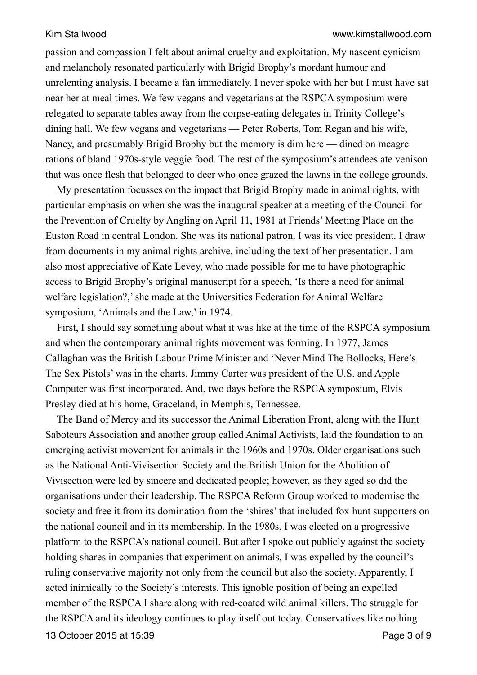passion and compassion I felt about animal cruelty and exploitation. My nascent cynicism and melancholy resonated particularly with Brigid Brophy's mordant humour and unrelenting analysis. I became a fan immediately. I never spoke with her but I must have sat near her at meal times. We few vegans and vegetarians at the RSPCA symposium were relegated to separate tables away from the corpse-eating delegates in Trinity College's dining hall. We few vegans and vegetarians — Peter Roberts, Tom Regan and his wife, Nancy, and presumably Brigid Brophy but the memory is dim here — dined on meagre rations of bland 1970s-style veggie food. The rest of the symposium's attendees ate venison that was once flesh that belonged to deer who once grazed the lawns in the college grounds.

My presentation focusses on the impact that Brigid Brophy made in animal rights, with particular emphasis on when she was the inaugural speaker at a meeting of the Council for the Prevention of Cruelty by Angling on April 11, 1981 at Friends' Meeting Place on the Euston Road in central London. She was its national patron. I was its vice president. I draw from documents in my animal rights archive, including the text of her presentation. I am also most appreciative of Kate Levey, who made possible for me to have photographic access to Brigid Brophy's original manuscript for a speech, 'Is there a need for animal welfare legislation?,' she made at the Universities Federation for Animal Welfare symposium, 'Animals and the Law,' in 1974.

First, I should say something about what it was like at the time of the RSPCA symposium and when the contemporary animal rights movement was forming. In 1977, James Callaghan was the British Labour Prime Minister and 'Never Mind The Bollocks, Here's The Sex Pistols' was in the charts. Jimmy Carter was president of the U.S. and Apple Computer was first incorporated. And, two days before the RSPCA symposium, Elvis Presley died at his home, Graceland, in Memphis, Tennessee.

The Band of Mercy and its successor the Animal Liberation Front, along with the Hunt Saboteurs Association and another group called Animal Activists, laid the foundation to an emerging activist movement for animals in the 1960s and 1970s. Older organisations such as the National Anti-Vivisection Society and the British Union for the Abolition of Vivisection were led by sincere and dedicated people; however, as they aged so did the organisations under their leadership. The RSPCA Reform Group worked to modernise the society and free it from its domination from the 'shires' that included fox hunt supporters on the national council and in its membership. In the 1980s, I was elected on a progressive platform to the RSPCA's national council. But after I spoke out publicly against the society holding shares in companies that experiment on animals, I was expelled by the council's ruling conservative majority not only from the council but also the society. Apparently, I acted inimically to the Society's interests. This ignoble position of being an expelled member of the RSPCA I share along with red-coated wild animal killers. The struggle for the RSPCA and its ideology continues to play itself out today. Conservatives like nothing 13 October 2015 at 15:39 Page 3 of 9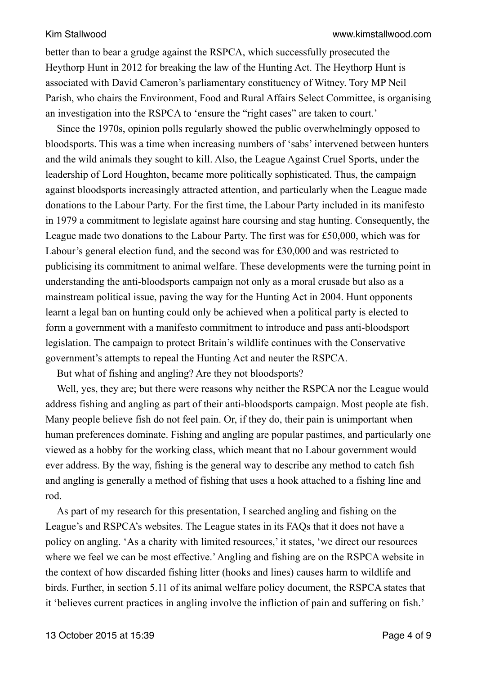better than to bear a grudge against the RSPCA, which successfully prosecuted the Heythorp Hunt in 2012 for breaking the law of the Hunting Act. The Heythorp Hunt is associated with David Cameron's parliamentary constituency of Witney. Tory MP Neil Parish, who chairs the Environment, Food and Rural Affairs Select Committee, is organising an investigation into the RSPCA to 'ensure the "right cases" are taken to court.'

Since the 1970s, opinion polls regularly showed the public overwhelmingly opposed to bloodsports. This was a time when increasing numbers of 'sabs' intervened between hunters and the wild animals they sought to kill. Also, the League Against Cruel Sports, under the leadership of Lord Houghton, became more politically sophisticated. Thus, the campaign against bloodsports increasingly attracted attention, and particularly when the League made donations to the Labour Party. For the first time, the Labour Party included in its manifesto in 1979 a commitment to legislate against hare coursing and stag hunting. Consequently, the League made two donations to the Labour Party. The first was for £50,000, which was for Labour's general election fund, and the second was for £30,000 and was restricted to publicising its commitment to animal welfare. These developments were the turning point in understanding the anti-bloodsports campaign not only as a moral crusade but also as a mainstream political issue, paving the way for the Hunting Act in 2004. Hunt opponents learnt a legal ban on hunting could only be achieved when a political party is elected to form a government with a manifesto commitment to introduce and pass anti-bloodsport legislation. The campaign to protect Britain's wildlife continues with the Conservative government's attempts to repeal the Hunting Act and neuter the RSPCA.

But what of fishing and angling? Are they not bloodsports?

Well, yes, they are; but there were reasons why neither the RSPCA nor the League would address fishing and angling as part of their anti-bloodsports campaign. Most people ate fish. Many people believe fish do not feel pain. Or, if they do, their pain is unimportant when human preferences dominate. Fishing and angling are popular pastimes, and particularly one viewed as a hobby for the working class, which meant that no Labour government would ever address. By the way, fishing is the general way to describe any method to catch fish and angling is generally a method of fishing that uses a hook attached to a fishing line and rod.

As part of my research for this presentation, I searched angling and fishing on the League's and RSPCA's websites. The League states in its FAQs that it does not have a policy on angling. 'As a charity with limited resources,' it states, 'we direct our resources where we feel we can be most effective.' Angling and fishing are on the RSPCA website in the context of how discarded fishing litter (hooks and lines) causes harm to wildlife and birds. Further, in section 5.11 of its animal welfare policy document, the RSPCA states that it 'believes current practices in angling involve the infliction of pain and suffering on fish.'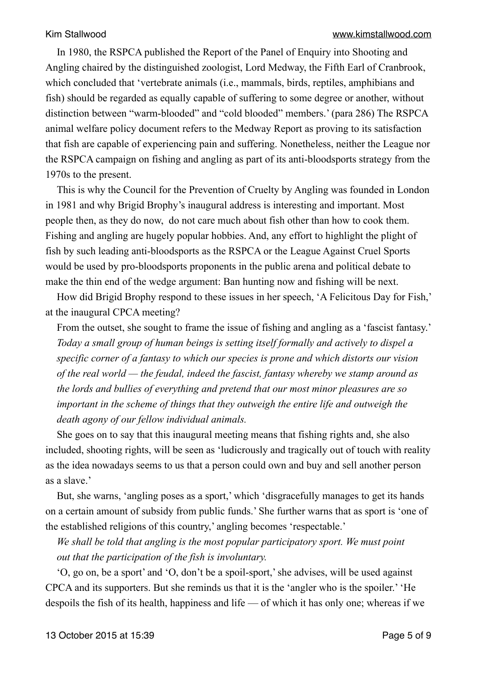In 1980, the RSPCA published the Report of the Panel of Enquiry into Shooting and Angling chaired by the distinguished zoologist, Lord Medway, the Fifth Earl of Cranbrook, which concluded that 'vertebrate animals (i.e., mammals, birds, reptiles, amphibians and fish) should be regarded as equally capable of suffering to some degree or another, without distinction between "warm-blooded" and "cold blooded" members.' (para 286) The RSPCA animal welfare policy document refers to the Medway Report as proving to its satisfaction that fish are capable of experiencing pain and suffering. Nonetheless, neither the League nor the RSPCA campaign on fishing and angling as part of its anti-bloodsports strategy from the 1970s to the present.

This is why the Council for the Prevention of Cruelty by Angling was founded in London in 1981 and why Brigid Brophy's inaugural address is interesting and important. Most people then, as they do now, do not care much about fish other than how to cook them. Fishing and angling are hugely popular hobbies. And, any effort to highlight the plight of fish by such leading anti-bloodsports as the RSPCA or the League Against Cruel Sports would be used by pro-bloodsports proponents in the public arena and political debate to make the thin end of the wedge argument: Ban hunting now and fishing will be next.

How did Brigid Brophy respond to these issues in her speech, 'A Felicitous Day for Fish,' at the inaugural CPCA meeting?

From the outset, she sought to frame the issue of fishing and angling as a 'fascist fantasy.' *Today a small group of human beings is setting itself formally and actively to dispel a specific corner of a fantasy to which our species is prone and which distorts our vision of the real world — the feudal, indeed the fascist, fantasy whereby we stamp around as the lords and bullies of everything and pretend that our most minor pleasures are so important in the scheme of things that they outweigh the entire life and outweigh the death agony of our fellow individual animals.* 

She goes on to say that this inaugural meeting means that fishing rights and, she also included, shooting rights, will be seen as 'ludicrously and tragically out of touch with reality as the idea nowadays seems to us that a person could own and buy and sell another person as a slave.'

But, she warns, 'angling poses as a sport,' which 'disgracefully manages to get its hands on a certain amount of subsidy from public funds.' She further warns that as sport is 'one of the established religions of this country,' angling becomes 'respectable.'

*We shall be told that angling is the most popular participatory sport. We must point out that the participation of the fish is involuntary.* 

'O, go on, be a sport' and 'O, don't be a spoil-sport,' she advises, will be used against CPCA and its supporters. But she reminds us that it is the 'angler who is the spoiler.' 'He despoils the fish of its health, happiness and life — of which it has only one; whereas if we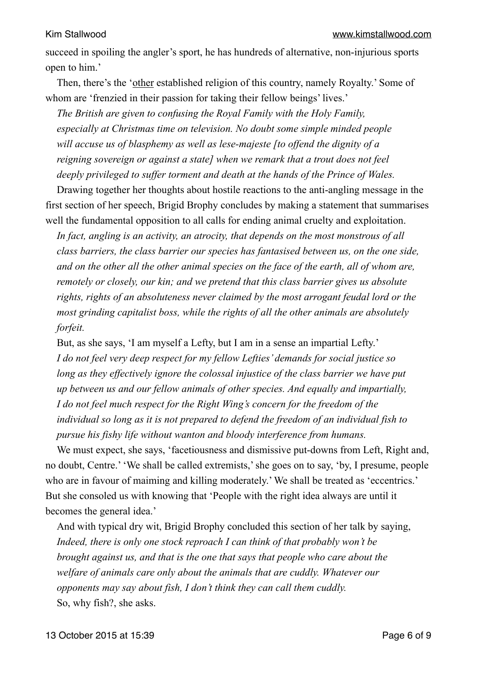succeed in spoiling the angler's sport, he has hundreds of alternative, non-injurious sports open to him.'

Then, there's the 'other established religion of this country, namely Royalty.' Some of whom are 'frenzied in their passion for taking their fellow beings' lives.'

*The British are given to confusing the Royal Family with the Holy Family, especially at Christmas time on television. No doubt some simple minded people will accuse us of blasphemy as well as lese-majeste [to offend the dignity of a reigning sovereign or against a state] when we remark that a trout does not feel deeply privileged to suffer torment and death at the hands of the Prince of Wales.* 

Drawing together her thoughts about hostile reactions to the anti-angling message in the first section of her speech, Brigid Brophy concludes by making a statement that summarises well the fundamental opposition to all calls for ending animal cruelty and exploitation.

*In fact, angling is an activity, an atrocity, that depends on the most monstrous of all class barriers, the class barrier our species has fantasised between us, on the one side, and on the other all the other animal species on the face of the earth, all of whom are, remotely or closely, our kin; and we pretend that this class barrier gives us absolute rights, rights of an absoluteness never claimed by the most arrogant feudal lord or the most grinding capitalist boss, while the rights of all the other animals are absolutely forfeit.* 

But, as she says, 'I am myself a Lefty, but I am in a sense an impartial Lefty.' *I do not feel very deep respect for my fellow Lefties' demands for social justice so long as they effectively ignore the colossal injustice of the class barrier we have put up between us and our fellow animals of other species. And equally and impartially, I do not feel much respect for the Right Wing's concern for the freedom of the individual so long as it is not prepared to defend the freedom of an individual fish to pursue his fishy life without wanton and bloody interference from humans.* 

We must expect, she says, 'facetiousness and dismissive put-downs from Left, Right and, no doubt, Centre.' 'We shall be called extremists,' she goes on to say, 'by, I presume, people who are in favour of maiming and killing moderately.' We shall be treated as 'eccentrics.' But she consoled us with knowing that 'People with the right idea always are until it becomes the general idea.'

And with typical dry wit, Brigid Brophy concluded this section of her talk by saying, *Indeed, there is only one stock reproach I can think of that probably won't be brought against us, and that is the one that says that people who care about the welfare of animals care only about the animals that are cuddly. Whatever our opponents may say about fish, I don't think they can call them cuddly.*  So, why fish?, she asks.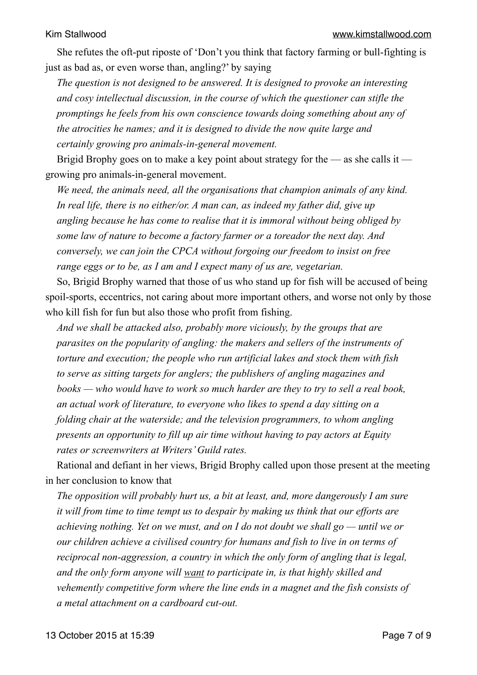She refutes the oft-put riposte of 'Don't you think that factory farming or bull-fighting is just as bad as, or even worse than, angling?' by saying

*The question is not designed to be answered. It is designed to provoke an interesting and cosy intellectual discussion, in the course of which the questioner can stifle the promptings he feels from his own conscience towards doing something about any of the atrocities he names; and it is designed to divide the now quite large and certainly growing pro animals-in-general movement.* 

Brigid Brophy goes on to make a key point about strategy for the — as she calls it growing pro animals-in-general movement.

*We need, the animals need, all the organisations that champion animals of any kind. In real life, there is no either/or. A man can, as indeed my father did, give up angling because he has come to realise that it is immoral without being obliged by some law of nature to become a factory farmer or a toreador the next day. And conversely, we can join the CPCA without forgoing our freedom to insist on free range eggs or to be, as I am and I expect many of us are, vegetarian.* 

So, Brigid Brophy warned that those of us who stand up for fish will be accused of being spoil-sports, eccentrics, not caring about more important others, and worse not only by those who kill fish for fun but also those who profit from fishing.

*And we shall be attacked also, probably more viciously, by the groups that are parasites on the popularity of angling: the makers and sellers of the instruments of torture and execution; the people who run artificial lakes and stock them with fish to serve as sitting targets for anglers; the publishers of angling magazines and books — who would have to work so much harder are they to try to sell a real book, an actual work of literature, to everyone who likes to spend a day sitting on a folding chair at the waterside; and the television programmers, to whom angling presents an opportunity to fill up air time without having to pay actors at Equity rates or screenwriters at Writers' Guild rates.* 

Rational and defiant in her views, Brigid Brophy called upon those present at the meeting in her conclusion to know that

*The opposition will probably hurt us, a bit at least, and, more dangerously I am sure it will from time to time tempt us to despair by making us think that our efforts are achieving nothing. Yet on we must, and on I do not doubt we shall go — until we or our children achieve a civilised country for humans and fish to live in on terms of reciprocal non-aggression, a country in which the only form of angling that is legal, and the only form anyone will want to participate in, is that highly skilled and vehemently competitive form where the line ends in a magnet and the fish consists of a metal attachment on a cardboard cut-out.*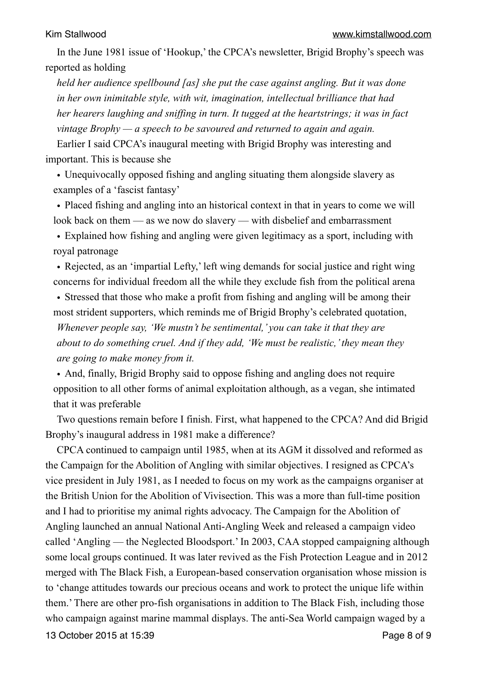In the June 1981 issue of 'Hookup,' the CPCA's newsletter, Brigid Brophy's speech was reported as holding

*held her audience spellbound [as] she put the case against angling. But it was done in her own inimitable style, with wit, imagination, intellectual brilliance that had her hearers laughing and sniffing in turn. It tugged at the heartstrings; it was in fact vintage Brophy — a speech to be savoured and returned to again and again.* 

Earlier I said CPCA's inaugural meeting with Brigid Brophy was interesting and important. This is because she

• Unequivocally opposed fishing and angling situating them alongside slavery as examples of a 'fascist fantasy'

• Placed fishing and angling into an historical context in that in years to come we will look back on them — as we now do slavery — with disbelief and embarrassment

• Explained how fishing and angling were given legitimacy as a sport, including with royal patronage

• Rejected, as an 'impartial Lefty,' left wing demands for social justice and right wing concerns for individual freedom all the while they exclude fish from the political arena

• Stressed that those who make a profit from fishing and angling will be among their most strident supporters, which reminds me of Brigid Brophy's celebrated quotation,

*Whenever people say, 'We mustn't be sentimental,' you can take it that they are about to do something cruel. And if they add, 'We must be realistic,' they mean they are going to make money from it.*

• And, finally, Brigid Brophy said to oppose fishing and angling does not require opposition to all other forms of animal exploitation although, as a vegan, she intimated that it was preferable

Two questions remain before I finish. First, what happened to the CPCA? And did Brigid Brophy's inaugural address in 1981 make a difference?

CPCA continued to campaign until 1985, when at its AGM it dissolved and reformed as the Campaign for the Abolition of Angling with similar objectives. I resigned as CPCA's vice president in July 1981, as I needed to focus on my work as the campaigns organiser at the British Union for the Abolition of Vivisection. This was a more than full-time position and I had to prioritise my animal rights advocacy. The Campaign for the Abolition of Angling launched an annual National Anti-Angling Week and released a campaign video called 'Angling — the Neglected Bloodsport.' In 2003, CAA stopped campaigning although some local groups continued. It was later revived as the Fish Protection League and in 2012 merged with The Black Fish, a European-based conservation organisation whose mission is to 'change attitudes towards our precious oceans and work to protect the unique life within them.' There are other pro-fish organisations in addition to The Black Fish, including those who campaign against marine mammal displays. The anti-Sea World campaign waged by a 13 October 2015 at 15:39 Page 8 of 9